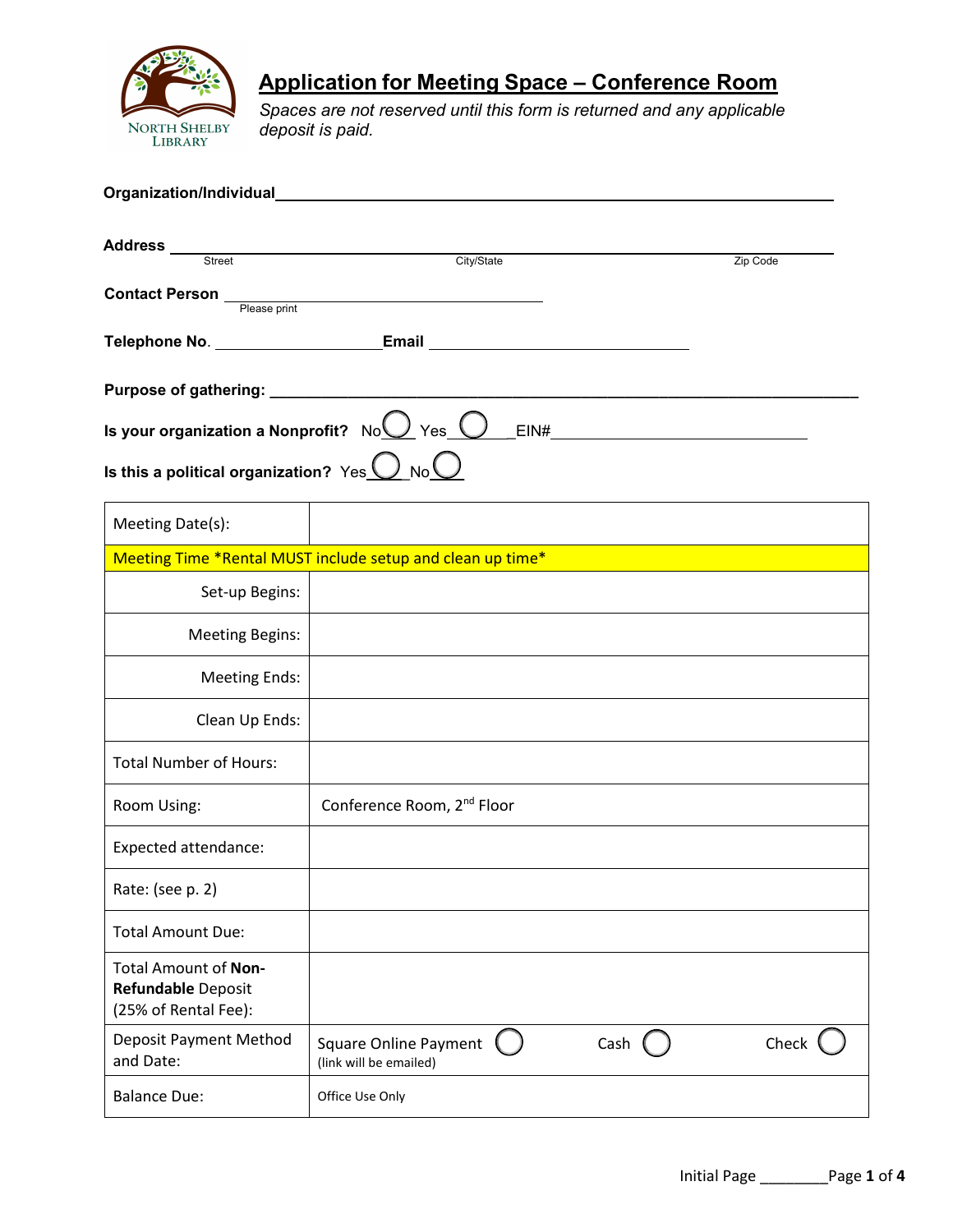

# **Application for Meeting Space – Conference Room**

*Spaces are not reserved until this form is returned and any applicable deposit is paid.* 

| Organization/Individual                                                                                       |                                                            |      |          |  |  |  |  |
|---------------------------------------------------------------------------------------------------------------|------------------------------------------------------------|------|----------|--|--|--|--|
| Address ___<br>Street                                                                                         | City/State                                                 |      | Zip Code |  |  |  |  |
| <b>Contact Person</b><br>Please print                                                                         |                                                            |      |          |  |  |  |  |
|                                                                                                               |                                                            |      |          |  |  |  |  |
|                                                                                                               |                                                            |      |          |  |  |  |  |
| Is your organization a Nonprofit? $\,\,$ No $\,\,\overline{\bigcup}\,$ Yes $\,\,\overline{\bigcup}\,$<br>EIN# |                                                            |      |          |  |  |  |  |
| Is this a political organization? $\gamma_{\textsf{es}}\underline{\bigcup}\,{\sf No}\underline{\bigcup}$      |                                                            |      |          |  |  |  |  |
| Meeting Date(s):                                                                                              |                                                            |      |          |  |  |  |  |
|                                                                                                               | Meeting Time *Rental MUST include setup and clean up time* |      |          |  |  |  |  |
| Set-up Begins:                                                                                                |                                                            |      |          |  |  |  |  |
| <b>Meeting Begins:</b>                                                                                        |                                                            |      |          |  |  |  |  |
| <b>Meeting Ends:</b>                                                                                          |                                                            |      |          |  |  |  |  |
| Clean Up Ends:                                                                                                |                                                            |      |          |  |  |  |  |
| <b>Total Number of Hours:</b>                                                                                 |                                                            |      |          |  |  |  |  |
| Room Using:                                                                                                   | Conference Room, 2 <sup>nd</sup> Floor                     |      |          |  |  |  |  |
| <b>Expected attendance:</b>                                                                                   |                                                            |      |          |  |  |  |  |
| Rate: (see p. 2)                                                                                              |                                                            |      |          |  |  |  |  |
| <b>Total Amount Due:</b>                                                                                      |                                                            |      |          |  |  |  |  |
| Total Amount of Non-<br>Refundable Deposit<br>(25% of Rental Fee):                                            |                                                            |      |          |  |  |  |  |
| <b>Deposit Payment Method</b><br>and Date:                                                                    | <b>Square Online Payment</b><br>(link will be emailed)     | Cash | Check    |  |  |  |  |
| <b>Balance Due:</b>                                                                                           | Office Use Only                                            |      |          |  |  |  |  |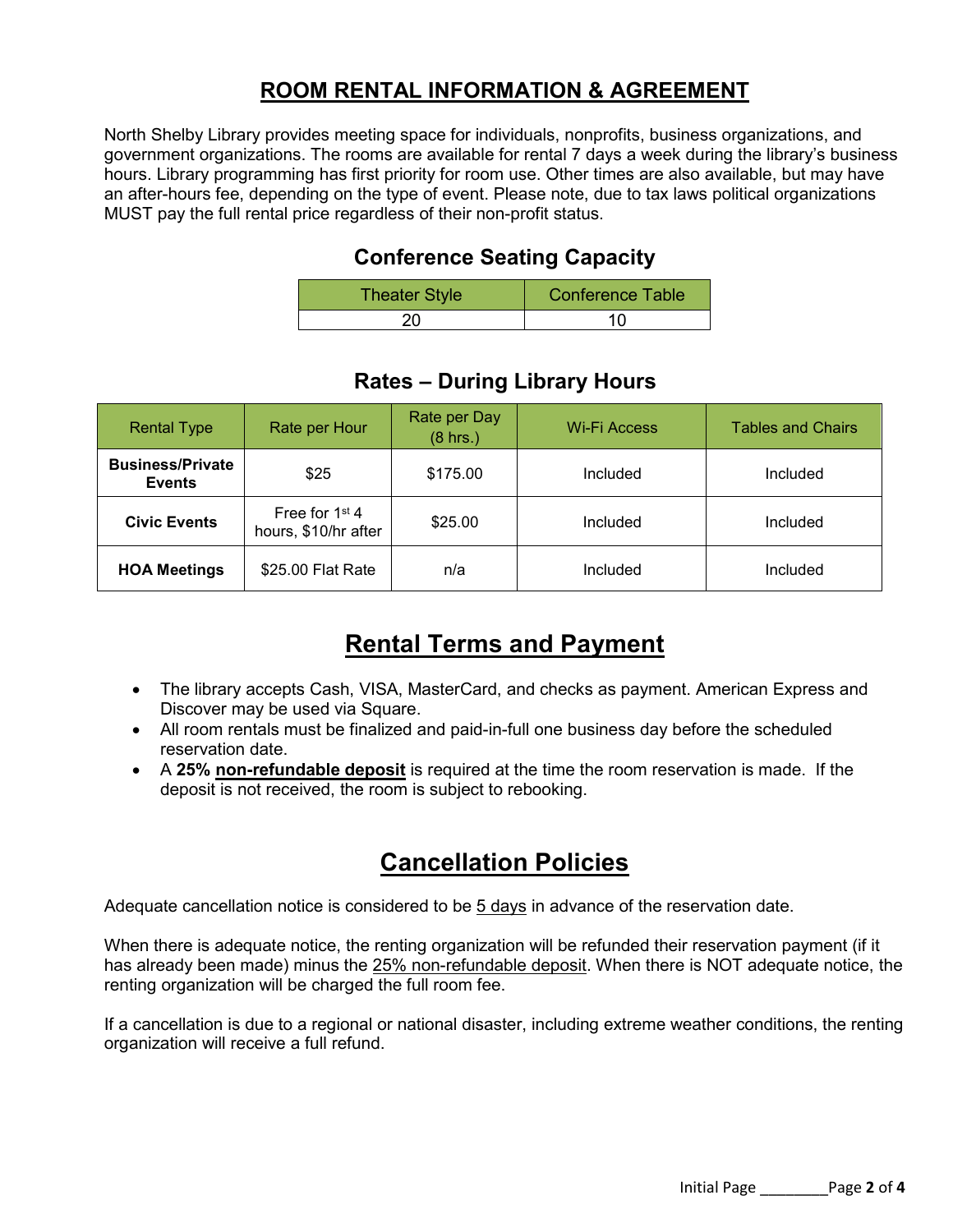## **ROOM RENTAL INFORMATION & AGREEMENT**

North Shelby Library provides meeting space for individuals, nonprofits, business organizations, and government organizations. The rooms are available for rental 7 days a week during the library's business hours. Library programming has first priority for room use. Other times are also available, but may have an after-hours fee, depending on the type of event. Please note, due to tax laws political organizations MUST pay the full rental price regardless of their non-profit status.

#### **Conference Seating Capacity**

| <b>Theater Style</b> | Conference Table |  |
|----------------------|------------------|--|
|                      |                  |  |

| <b>Rental Type</b>                       | Rate per Hour                            | Rate per Day<br>$(8$ hrs.) | Wi-Fi Access | <b>Tables and Chairs</b> |
|------------------------------------------|------------------------------------------|----------------------------|--------------|--------------------------|
| <b>Business/Private</b><br><b>Events</b> | \$25                                     | \$175.00                   | Included     | Included                 |
| <b>Civic Events</b>                      | Free for $1st$ 4<br>hours, \$10/hr after | \$25.00                    | Included     | Included                 |
| <b>HOA Meetings</b>                      | \$25.00 Flat Rate                        | n/a                        | Included     | Included                 |

### **Rates – During Library Hours**

# **Rental Terms and Payment**

- The library accepts Cash, VISA, MasterCard, and checks as payment. American Express and Discover may be used via Square.
- All room rentals must be finalized and paid-in-full one business day before the scheduled reservation date.
- A **25% non-refundable deposit** is required at the time the room reservation is made. If the deposit is not received, the room is subject to rebooking.

## **Cancellation Policies**

Adequate cancellation notice is considered to be 5 days in advance of the reservation date.

When there is adequate notice, the renting organization will be refunded their reservation payment (if it has already been made) minus the 25% non-refundable deposit. When there is NOT adequate notice, the renting organization will be charged the full room fee.

If a cancellation is due to a regional or national disaster, including extreme weather conditions, the renting organization will receive a full refund.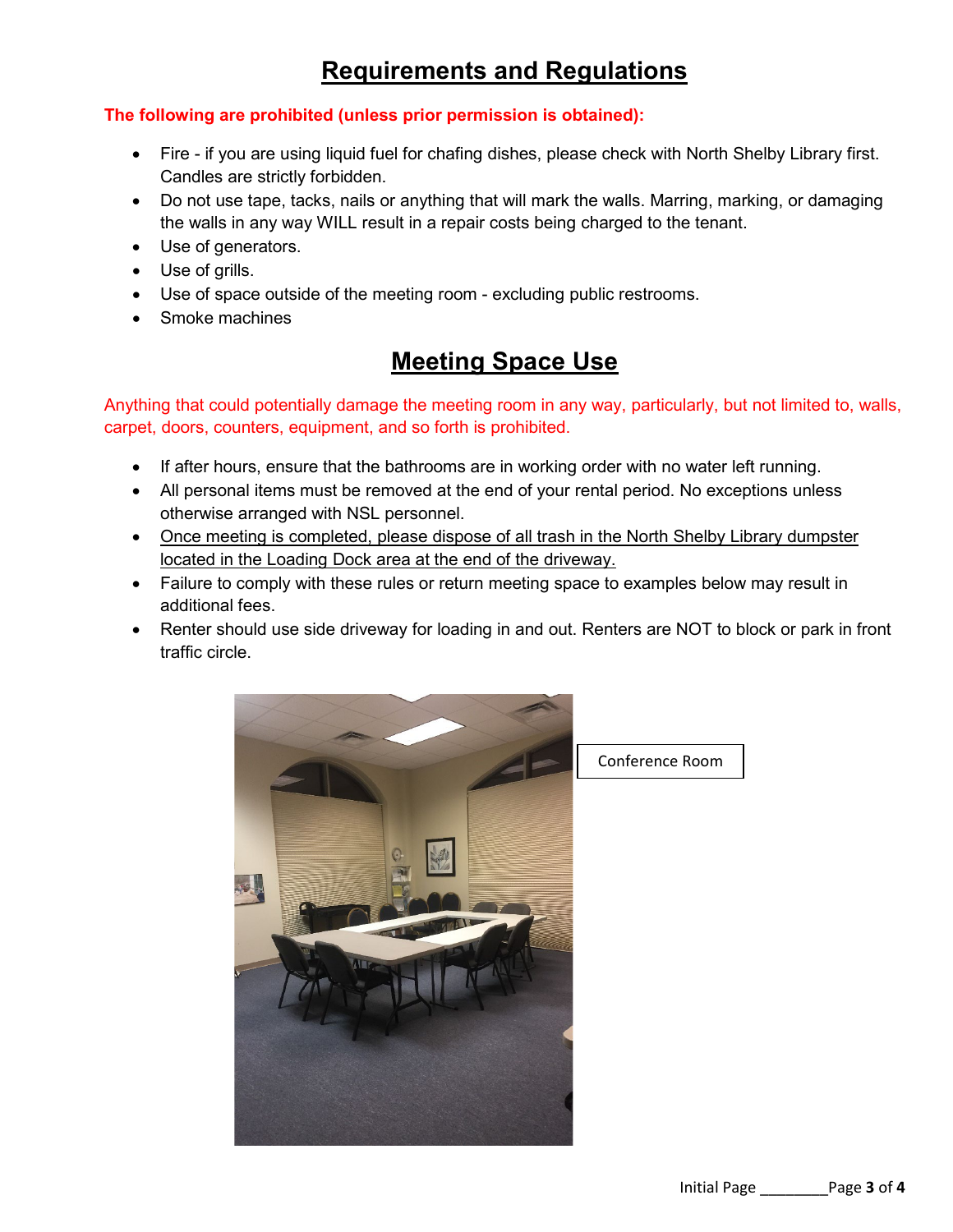# **Requirements and Regulations**

#### **The following are prohibited (unless prior permission is obtained):**

- Fire if you are using liquid fuel for chafing dishes, please check with North Shelby Library first. Candles are strictly forbidden.
- Do not use tape, tacks, nails or anything that will mark the walls. Marring, marking, or damaging the walls in any way WILL result in a repair costs being charged to the tenant.
- Use of generators.
- Use of grills.
- Use of space outside of the meeting room excluding public restrooms.
- Smoke machines

# **Meeting Space Use**

Anything that could potentially damage the meeting room in any way, particularly, but not limited to, walls, carpet, doors, counters, equipment, and so forth is prohibited.

- If after hours, ensure that the bathrooms are in working order with no water left running.
- All personal items must be removed at the end of your rental period. No exceptions unless otherwise arranged with NSL personnel.
- Once meeting is completed, please dispose of all trash in the North Shelby Library dumpster located in the Loading Dock area at the end of the driveway.
- Failure to comply with these rules or return meeting space to examples below may result in additional fees.
- Renter should use side driveway for loading in and out. Renters are NOT to block or park in front traffic circle.